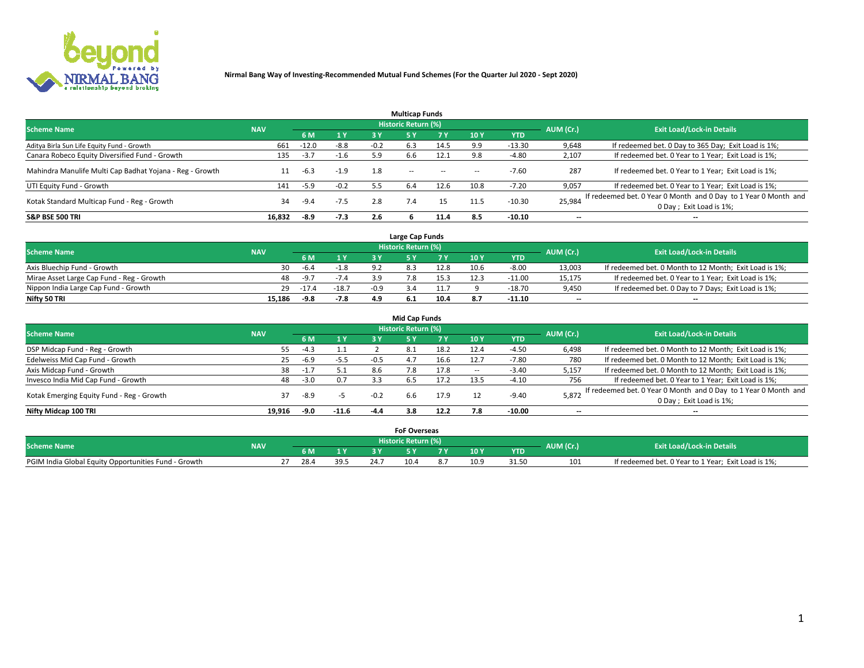

|                                                          |            |         |        |        | <b>Multicap Funds</b> |           |      |            |                          |                                                                                             |
|----------------------------------------------------------|------------|---------|--------|--------|-----------------------|-----------|------|------------|--------------------------|---------------------------------------------------------------------------------------------|
| <b>Scheme Name</b>                                       | <b>NAV</b> |         |        |        | Historic Return (%)   |           |      |            | AUM (Cr.)                | <b>Exit Load/Lock-in Details</b>                                                            |
|                                                          |            | 6 M     | 1 Y    | 3 Y    |                       | <b>7Y</b> | 10Y  | <b>YTD</b> |                          |                                                                                             |
| Aditya Birla Sun Life Equity Fund - Growth               | 661        | $-12.0$ | $-8.8$ | $-0.2$ | 6.3                   | 14.5      | 9.9  | $-13.30$   | 9,648                    | If redeemed bet. 0 Day to 365 Day; Exit Load is 1%;                                         |
| Canara Robeco Equity Diversified Fund - Growth           | 135        | $-3.7$  | $-1.6$ | 5.9    | 6.6                   | 12.1      | 9.8  | $-4.80$    | 2,107                    | If redeemed bet. 0 Year to 1 Year; Exit Load is 1%;                                         |
| Mahindra Manulife Multi Cap Badhat Yojana - Reg - Growth |            | $-6.3$  | $-1.9$ | 1.8    | $\sim$ $-$            | $\sim$    | --   | $-7.60$    | 287                      | If redeemed bet. 0 Year to 1 Year; Exit Load is 1%;                                         |
| UTI Equity Fund - Growth                                 | 141        | $-5.9$  | $-0.2$ | 5.5    | 6.4                   | 12.6      | 10.8 | $-7.20$    | 9,057                    | If redeemed bet. 0 Year to 1 Year; Exit Load is 1%;                                         |
| Kotak Standard Multicap Fund - Reg - Growth              | 34         | $-9.4$  | $-7.5$ | 2.8    | 7.4                   | 15        | 11.5 | $-10.30$   | 25,984                   | If redeemed bet. 0 Year 0 Month and 0 Day to 1 Year 0 Month and<br>0 Day ; Exit Load is 1%; |
| <b>S&amp;P BSE 500 TRI</b>                               | 16.832     | $-8.9$  | $-7.3$ | 2.6    |                       | 11.4      | 8.5  | $-10.10$   | $\overline{\phantom{a}}$ | $- -$                                                                                       |

|                                           |            |         |         |        | Large Cap Funds     |      |      |            |                          |                                                        |
|-------------------------------------------|------------|---------|---------|--------|---------------------|------|------|------------|--------------------------|--------------------------------------------------------|
| <b>Scheme Name</b>                        | <b>NAV</b> |         |         |        | Historic Return (%) |      |      |            | AUM (Cr.)                | <b>Exit Load/Lock-in Details</b>                       |
|                                           |            |         | 1 Y     |        |                     |      | 10 Y | <b>YTD</b> |                          |                                                        |
| Axis Bluechip Fund - Growth               | 30         | $-6.4$  | $-1.8$  |        |                     | 12.8 | 10.6 | $-8.00$    | 13,003                   | If redeemed bet. 0 Month to 12 Month; Exit Load is 1%; |
| Mirae Asset Large Cap Fund - Reg - Growth | 48         | -9.7    | $-7.4$  |        |                     |      |      | $-11.00$   | 15,175                   | If redeemed bet. 0 Year to 1 Year; Exit Load is 1%;    |
| Nippon India Large Cap Fund - Growth      | 29         | $-17.4$ | $-18.7$ | $-0.9$ |                     |      |      | $-18.70$   | 9,450                    | If redeemed bet. 0 Day to 7 Days; Exit Load is 1%;     |
| Nifty 50 TRI                              | 15.186     | -9.8    | $-7.8$  | 4.9    |                     | 10.4 |      | $-11.10$   | $\overline{\phantom{a}}$ | $- -$                                                  |

|                                           |            |        |                |        | <b>Mid Cap Funds</b> |      |      |            |           |                                                                 |
|-------------------------------------------|------------|--------|----------------|--------|----------------------|------|------|------------|-----------|-----------------------------------------------------------------|
| <b>Scheme Name</b>                        | <b>NAV</b> |        |                |        | Historic Return (%)  |      |      |            | AUM (Cr.) | <b>Exit Load/Lock-in Details</b>                                |
|                                           |            | 6 M    | 1 <sup>Y</sup> | 3 Y    | 5۱                   |      | 10Y  | <b>YTD</b> |           |                                                                 |
| DSP Midcap Fund - Reg - Growth            | 55         | $-4.3$ | ⊥.⊥            |        | -8.1                 | 18.2 | 12.4 | $-4.50$    | 6,498     | If redeemed bet. 0 Month to 12 Month; Exit Load is 1%;          |
| Edelweiss Mid Cap Fund - Growth           | 25         | $-6.9$ | $-5.5$         | $-0.5$ | 4.7                  | 16.6 | 12.7 | $-7.80$    | 780       | If redeemed bet. 0 Month to 12 Month; Exit Load is 1%;          |
| Axis Midcap Fund - Growth                 | 38         |        | 5.1            | 8.6    | 7.8                  | 17.8 | --   | $-3.40$    | 5,157     | If redeemed bet. 0 Month to 12 Month; Exit Load is 1%;          |
| Invesco India Mid Cap Fund - Growth       | 48         | $-3.0$ | 0.7            |        | b.5                  | 17.2 | 13.5 | $-4.10$    | 756       | If redeemed bet. 0 Year to 1 Year; Exit Load is 1%;             |
| Kotak Emerging Equity Fund - Reg - Growth | 37         | -8.9   |                | $-0.2$ |                      | 17.9 |      | $-9.40$    | 5,872     | If redeemed bet. 0 Year 0 Month and 0 Day to 1 Year 0 Month and |
|                                           |            |        |                |        | 6.6                  |      |      |            |           | 0 Day; Exit Load is 1%;                                         |
| Nifty Midcap 100 TRI                      | 19.916     | -9.0   | $-11.6$        | $-4.4$ | 3.8                  | 12.2 | 7.8  | $-10.00$   | $- -$     | $- -$                                                           |

|                                                      |            |      |              |      | <b>FoF Overseas</b>   |     |                  |            |           |                                                     |
|------------------------------------------------------|------------|------|--------------|------|-----------------------|-----|------------------|------------|-----------|-----------------------------------------------------|
| <b>Scheme Name</b>                                   | <b>NAV</b> |      |              |      | Historic Return (%) ' |     |                  |            | AUM (Cr.) | <b>Exit Load/Lock-in Details</b>                    |
|                                                      |            |      | $\mathbf{v}$ |      |                       | . . | 10 Y             | <b>YTD</b> |           |                                                     |
| PGIM India Global Equity Opportunities Fund - Growth |            | 28.4 | 39.5         | 24.7 | 10.4                  |     | 10. <sub>c</sub> | 31.51      | 101       | If redeemed bet. 0 Year to 1 Year; Exit Load is 1%; |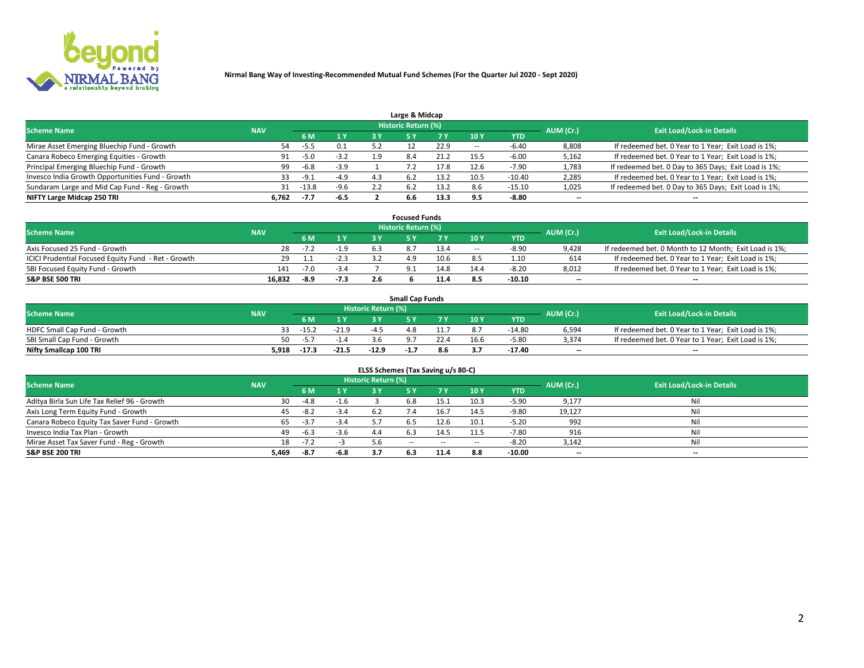

| Large & Midcap                                   |            |        |        |     |                     |      |      |            |                          |                                                      |  |  |  |  |
|--------------------------------------------------|------------|--------|--------|-----|---------------------|------|------|------------|--------------------------|------------------------------------------------------|--|--|--|--|
| <b>Scheme Name</b>                               | <b>NAV</b> |        |        |     | Historic Return (%) |      |      |            | AUM (Cr.)                | <b>Exit Load/Lock-in Details</b>                     |  |  |  |  |
|                                                  |            | 6 M    | 1 Y    | 3 Y |                     | 7 V  | 10Y  | <b>YTD</b> |                          |                                                      |  |  |  |  |
| Mirae Asset Emerging Bluechip Fund - Growth      | 54         | -5.5   | 0.1    |     |                     | 22.9 |      | $-6.40$    | 8,808                    | If redeemed bet. 0 Year to 1 Year; Exit Load is 1%;  |  |  |  |  |
| Canara Robeco Emerging Equities - Growth         | 91         | $-5.0$ | $-3.2$ | 1.9 | 8.4                 | 21.2 | 15.5 | $-6.00$    | 5,162                    | If redeemed bet. 0 Year to 1 Year; Exit Load is 1%;  |  |  |  |  |
| Principal Emerging Bluechip Fund - Growth        | 99         | $-6.8$ | $-3.9$ |     |                     | 17.8 | 12.6 | $-7.90$    | 1,783                    | If redeemed bet. 0 Day to 365 Days; Exit Load is 1%; |  |  |  |  |
| Invesco India Growth Opportunities Fund - Growth | 33         | $-9.1$ | $-4.9$ | 4.3 | 6.2                 | 13.2 | 10.5 | $-10.40$   | 2,285                    | If redeemed bet. 0 Year to 1 Year; Exit Load is 1%;  |  |  |  |  |
| Sundaram Large and Mid Cap Fund - Reg - Growth   | 31         | -13.8  | $-9.6$ |     | 6.2                 | 13.2 | 8.6  | $-15.10$   | 1,025                    | If redeemed bet. 0 Day to 365 Days; Exit Load is 1%; |  |  |  |  |
| NIFTY Large Midcap 250 TRI                       | 6.762      | -7.7   | $-6.5$ |     | 6.6                 | 13.3 |      | $-8.80$    | $\overline{\phantom{a}}$ | $- -$                                                |  |  |  |  |

|                                                     |            |        |        | <b>Focused Funds</b>       |      |        |            |                          |                                                        |
|-----------------------------------------------------|------------|--------|--------|----------------------------|------|--------|------------|--------------------------|--------------------------------------------------------|
| <b>Scheme Name</b>                                  | <b>NAV</b> |        |        | <b>Historic Return (%)</b> |      |        |            | AUM (Cr.)                | <b>Exit Load/Lock-in Details</b>                       |
|                                                     |            | 6 M    | 1 Y    |                            |      | 10 Y   | <b>YTD</b> |                          |                                                        |
| Axis Focused 25 Fund - Growth                       | 28         | $-1.4$ | $-1.9$ |                            | 13.4 | $\sim$ | $-8.90$    | 9,428                    | If redeemed bet. 0 Month to 12 Month; Exit Load is 1%; |
| ICICI Prudential Focused Equity Fund - Ret - Growth |            |        | $-2.3$ |                            | 10.6 |        | 1.10       | 614                      | If redeemed bet. 0 Year to 1 Year; Exit Load is 1%;    |
| SBI Focused Equity Fund - Growth                    | 141        | $-7.0$ | $-3.4$ |                            | 14.8 | 14.4   | $-8.20$    | 8,012                    | If redeemed bet. 0 Year to 1 Year; Exit Load is 1%;    |
| S&P BSE 500 TRI                                     | 16.832     | -8.9   | $-7.3$ |                            |      |        | $-10.10$   | $\overline{\phantom{a}}$ | $- -$                                                  |

|                              |            |         |         |                     | <b>Small Cap Funds</b> |      |                 |            |           |                                                     |
|------------------------------|------------|---------|---------|---------------------|------------------------|------|-----------------|------------|-----------|-----------------------------------------------------|
| <b>Scheme Name</b>           | <b>NAV</b> |         |         | Historic Return (%) |                        |      |                 |            | AUM (Cr.) | <b>Exit Load/Lock-in Details</b>                    |
|                              |            | 6 M     | 1 Y     |                     |                        |      | 10 <sub>Y</sub> | <b>YTD</b> |           |                                                     |
| HDFC Small Cap Fund - Growth |            | $-15.2$ | $-21.9$ | -4 '                | 4.8                    |      |                 | $-14.80$   | 6,594     | If redeemed bet. 0 Year to 1 Year; Exit Load is 1%; |
| SBI Small Cap Fund - Growth  | 50.        |         |         |                     |                        | 22.4 | 16.6            | $-5.80$    | 3.374     | If redeemed bet. 0 Year to 1 Year; Exit Load is 1%; |
| Nifty Smallcap 100 TRI       | 5,918      | $-17.3$ | $-21.5$ | $-12.9$             | -1.,                   | 8.6  |                 | $-17.40$   | $-$       | $- -$                                               |

| ELSS Schemes (Tax Saving u/s 80-C)           |            |        |        |                            |            |            |                          |            |                          |                                  |  |  |  |
|----------------------------------------------|------------|--------|--------|----------------------------|------------|------------|--------------------------|------------|--------------------------|----------------------------------|--|--|--|
| <b>Scheme Name</b>                           | <b>NAV</b> |        |        | <b>Historic Return (%)</b> |            |            |                          |            | AUM (Cr.)                | <b>Exit Load/Lock-in Details</b> |  |  |  |
|                                              |            | - 6 M  | 1Y     | 3 Y                        | <b>5Y</b>  | <b>7</b> Y | 10Y                      | <b>YTD</b> |                          |                                  |  |  |  |
| Aditya Birla Sun Life Tax Relief 96 - Growth | 30         | $-4.8$ | $-1.6$ |                            | 6.8        | 15.1       | 10.3                     | $-5.90$    | 9,177                    | Nil                              |  |  |  |
| Axis Long Term Equity Fund - Growth          | 45         | $-8.2$ | $-3.4$ |                            |            | 16.7       | 14.5                     | $-9.80$    | 19,127                   | Nil                              |  |  |  |
| Canara Robeco Equity Tax Saver Fund - Growth | 65         | $-3.7$ | $-3.4$ |                            | 6.5        | 12.6       | 10.1                     | $-5.20$    | 992                      | Nil                              |  |  |  |
| Invesco India Tax Plan - Growth              | 49         | $-6.3$ | $-3.6$ | 4.4                        | b.3        | 14.5       | 11.5                     | $-7.80$    | 916                      | Nil                              |  |  |  |
| Mirae Asset Tax Saver Fund - Reg - Growth    | 18         | $-7.2$ |        | 5.6                        | $\sim$ $-$ | $\sim$     | $\overline{\phantom{a}}$ | $-8.20$    | 3,142                    | Nil                              |  |  |  |
| S&P BSE 200 TRI                              | 5,469      | -8.7   | -6.8   | 3.7                        |            | 11.4       | 8.8                      | $-10.00$   | $\overline{\phantom{a}}$ | $- -$                            |  |  |  |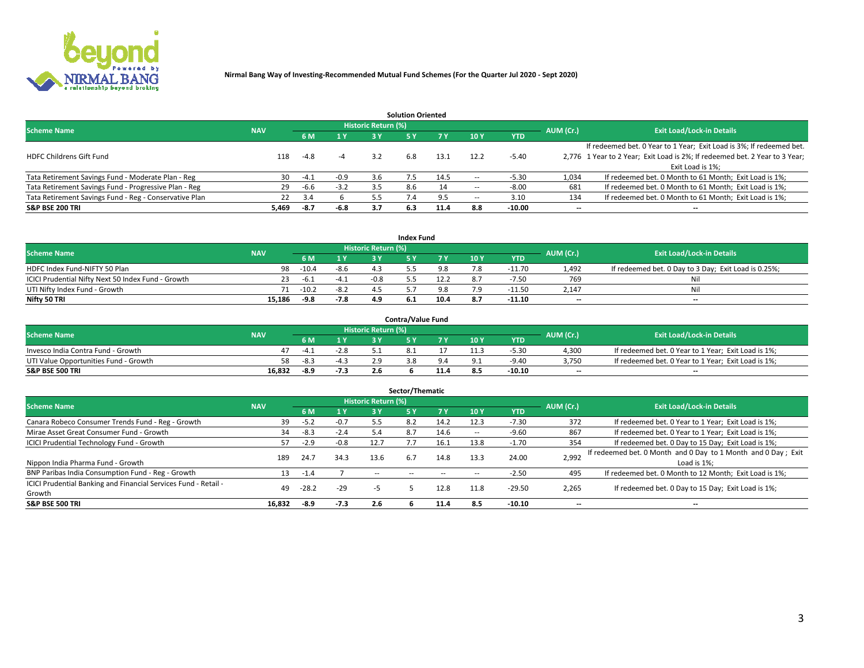

| <b>Solution Oriented</b>                               |            |            |        |                            |     |      |      |            |                          |                                                                             |  |  |  |  |
|--------------------------------------------------------|------------|------------|--------|----------------------------|-----|------|------|------------|--------------------------|-----------------------------------------------------------------------------|--|--|--|--|
| <b>Scheme Name</b>                                     | <b>NAV</b> |            |        | <b>Historic Return (%)</b> |     |      |      |            | AUM (Cr.)                | <b>Exit Load/Lock-in Details</b>                                            |  |  |  |  |
|                                                        |            | <b>6 M</b> | 1 Y    | 3 ۷                        |     |      | 10 Y | <b>YTD</b> |                          |                                                                             |  |  |  |  |
|                                                        |            |            |        |                            |     |      |      |            |                          | If redeemed bet. 0 Year to 1 Year; Exit Load is 3%; If redeemed bet.        |  |  |  |  |
| <b>HDFC Childrens Gift Fund</b>                        | 118        | $-4.8$     | -4     | 3.2                        | 6.8 | 13.1 | 12.2 | $-5.40$    |                          | 2,776 1 Year to 2 Year; Exit Load is 2%; If redeemed bet. 2 Year to 3 Year; |  |  |  |  |
|                                                        |            |            |        |                            |     |      |      |            |                          | Exit Load is 1%:                                                            |  |  |  |  |
| Tata Retirement Savings Fund - Moderate Plan - Reg     | 30         | $-4.1$     | $-0.9$ | 3.6                        |     | 14.5 |      | -5.30      | 1,034                    | If redeemed bet. 0 Month to 61 Month; Exit Load is 1%;                      |  |  |  |  |
| Tata Retirement Savings Fund - Progressive Plan - Reg  | 29         | -6.6       | $-3.2$ | 3.5                        | 8.6 | 14   | --   | $-8.00$    | 681                      | If redeemed bet. 0 Month to 61 Month; Exit Load is 1%;                      |  |  |  |  |
| Tata Retirement Savings Fund - Reg - Conservative Plan | 22         | 3.4        |        | 5.5                        |     |      | --   | 3.10       | 134                      | If redeemed bet. 0 Month to 61 Month; Exit Load is 1%;                      |  |  |  |  |
| S&P BSE 200 TRI                                        | 5,469      | -8.7       | $-6.8$ | 3.7                        | 6.3 | 11.4 | 8.8  | $-10.00$   | $\overline{\phantom{a}}$ | $- -$                                                                       |  |  |  |  |

|                                                    |            |         |              |                            | <b>Index Fund</b> |      |      |            |                          |                                                      |
|----------------------------------------------------|------------|---------|--------------|----------------------------|-------------------|------|------|------------|--------------------------|------------------------------------------------------|
| <b>Scheme Name</b>                                 | <b>NAV</b> |         |              | <b>Historic Return (%)</b> |                   |      |      |            | AUM (Cr.)                | <b>Exit Load/Lock-in Details</b>                     |
|                                                    |            |         | $\sqrt{1}$ Y | 2 V                        |                   | 7 V  | 10 Y | <b>YTD</b> |                          |                                                      |
| HDFC Index Fund-NIFTY 50 Plan                      | 98         | $-10.4$ | $-8.6$       |                            |                   |      |      | $-11.70$   | 1.492                    | If redeemed bet. 0 Day to 3 Day; Exit Load is 0.25%; |
| ICICI Prudential Nifty Next 50 Index Fund - Growth |            | -6.1    | -4.1         | $-0.8$                     |                   |      |      | -7.50      | 769                      | Nil                                                  |
| UTI Nifty Index Fund - Growth                      |            | $-10.2$ | $-8.2$       |                            |                   |      |      | $-11.50$   | 2,147                    | Nil                                                  |
| Nifty 50 TRI                                       | 15.186     | $-9.8$  | $-7.8$       | 4.9                        | 6.1               | 10.4 |      | $-11.10$   | $\overline{\phantom{a}}$ | $- -$                                                |

|                                       |            |        |                                   |                            | <b>Contra/Value Fund</b> |     |     |            |                          |                                                     |
|---------------------------------------|------------|--------|-----------------------------------|----------------------------|--------------------------|-----|-----|------------|--------------------------|-----------------------------------------------------|
| <b>Scheme Name</b>                    | <b>NAV</b> |        |                                   | <b>Historic Return (%)</b> |                          |     |     |            | AUM (Cr.)                | <b>Exit Load/Lock-in Details</b>                    |
|                                       |            |        | $\boldsymbol{A}$ $\boldsymbol{V}$ |                            |                          | 7 V | 10Y | <b>YTD</b> |                          |                                                     |
| Invesco India Contra Fund - Growth    |            | -4.1   | $-2.8$                            |                            |                          |     |     | -5.30      | 4,300                    | If redeemed bet. 0 Year to 1 Year; Exit Load is 1%; |
| UTI Value Opportunities Fund - Growth | 58         | $-8.3$ | -4.3                              |                            |                          |     |     | -9.40      | 3,750                    | If redeemed bet. 0 Year to 1 Year; Exit Load is 1%; |
| <b>S&amp;P BSE 500 TRI</b>            | 16.832     | $-8.9$ | $-7.3$                            |                            |                          | --- |     | $-10.10$   | $\overline{\phantom{a}}$ | $- -$                                               |

| Sector/Thematic                                                           |            |         |        |                            |            |           |      |            |                          |                                                                              |  |  |  |
|---------------------------------------------------------------------------|------------|---------|--------|----------------------------|------------|-----------|------|------------|--------------------------|------------------------------------------------------------------------------|--|--|--|
| <b>Scheme Name</b>                                                        | <b>NAV</b> |         |        | <b>Historic Return (%)</b> |            |           |      |            | AUM (Cr.)                | <b>Exit Load/Lock-in Details</b>                                             |  |  |  |
|                                                                           |            | 6 M     | 1 Y    | 3 Y                        | 5 Y        | <b>7Y</b> | 10Y  | <b>YTD</b> |                          |                                                                              |  |  |  |
| Canara Robeco Consumer Trends Fund - Reg - Growth                         | 39         | $-5.2$  | $-0.7$ | 5.5                        | 8.2        | 14.2      | 12.3 | $-7.30$    | 372                      | If redeemed bet. 0 Year to 1 Year; Exit Load is 1%;                          |  |  |  |
| Mirae Asset Great Consumer Fund - Growth                                  | 34         | -8.3    | $-2.4$ | 5.4                        | 8.7        | 14.6      | --   | $-9.60$    | 867                      | If redeemed bet. 0 Year to 1 Year; Exit Load is 1%;                          |  |  |  |
| <b>ICICI Prudential Technology Fund - Growth</b>                          | 57.        | $-2.9$  | $-0.8$ | 12.7                       |            | 16.1      | 13.8 | $-1.70$    | 354                      | If redeemed bet. 0 Day to 15 Day; Exit Load is 1%;                           |  |  |  |
| Nippon India Pharma Fund - Growth                                         | 189        | 24.7    | 34.3   | 13.6                       | 6.7        | 14.8      | 13.3 | 24.00      | 2,992                    | If redeemed bet. 0 Month and 0 Day to 1 Month and 0 Day; Exit<br>Load is 1%: |  |  |  |
| BNP Paribas India Consumption Fund - Reg - Growth                         | 13         | $-1.4$  |        | $\sim$ $-$                 | $\sim$ $-$ | $-$       | --   | $-2.50$    | 495                      | If redeemed bet. 0 Month to 12 Month; Exit Load is 1%;                       |  |  |  |
| ICICI Prudential Banking and Financial Services Fund - Retail -<br>Growth | 49         | $-28.2$ | $-29$  | -5                         |            | 12.8      | 11.8 | $-29.50$   | 2,265                    | If redeemed bet. 0 Day to 15 Day; Exit Load is 1%;                           |  |  |  |
| <b>S&amp;P BSE 500 TRI</b>                                                | 16.832     | -8.9    | $-7.3$ | 2.6                        |            | 11.4      | 8.5  | $-10.10$   | $\overline{\phantom{a}}$ | $- -$                                                                        |  |  |  |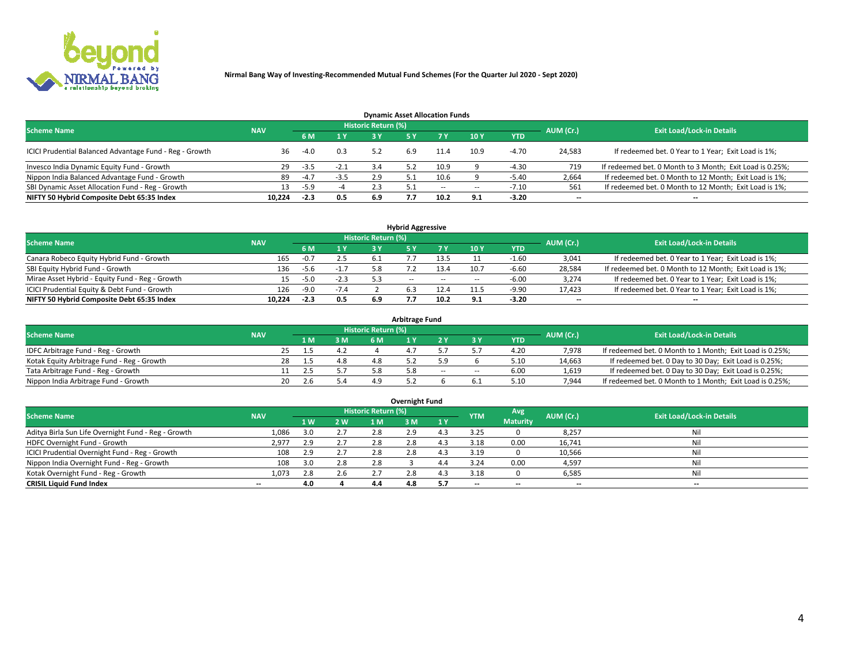

| <b>Dynamic Asset Allocation Funds</b>                   |            |        |        |                            |     |        |                          |            |                          |                                                          |  |  |  |  |
|---------------------------------------------------------|------------|--------|--------|----------------------------|-----|--------|--------------------------|------------|--------------------------|----------------------------------------------------------|--|--|--|--|
| <b>Scheme Name</b>                                      | <b>NAV</b> |        |        | <b>Historic Return (%)</b> |     |        |                          |            | AUM (Cr.)                | <b>Exit Load/Lock-in Details</b>                         |  |  |  |  |
|                                                         |            | 6 M    | 1 Y    |                            |     |        | 10 <sub>Y</sub>          | <b>YTD</b> |                          |                                                          |  |  |  |  |
| ICICI Prudential Balanced Advantage Fund - Reg - Growth | 36         | $-4.0$ | 0.3    | 5.2                        | 6.9 | 11.4   | 10.9                     | $-4.70$    | 24,583                   | If redeemed bet. 0 Year to 1 Year; Exit Load is 1%;      |  |  |  |  |
| Invesco India Dynamic Equity Fund - Growth              | 29         | $-3.5$ | $-2.1$ | 3.4                        |     | 10.9   |                          | $-4.30$    | 719                      | If redeemed bet. 0 Month to 3 Month; Exit Load is 0.25%; |  |  |  |  |
| Nippon India Balanced Advantage Fund - Growth           | 89         | $-4.7$ | $-3.5$ | 2.9                        |     | 10.6   |                          | $-5.40$    | 2,664                    | If redeemed bet. 0 Month to 12 Month; Exit Load is 1%;   |  |  |  |  |
| SBI Dynamic Asset Allocation Fund - Reg - Growth        | 13.        | $-5.9$ | -4     | 2.3                        |     | $\sim$ | $\overline{\phantom{a}}$ | $-7.10$    | 561                      | If redeemed bet. 0 Month to 12 Month; Exit Load is 1%;   |  |  |  |  |
| NIFTY 50 Hybrid Composite Debt 65:35 Index              | 10.224     | $-2.3$ | 0.5    | 6.9                        |     | 10.2   | 9.1                      | $-3.20$    | $\overline{\phantom{a}}$ |                                                          |  |  |  |  |

|                                                 |            |                                  |        |     | <b>Hybrid Aggressive</b> |        |      |            |                          |                                                        |
|-------------------------------------------------|------------|----------------------------------|--------|-----|--------------------------|--------|------|------------|--------------------------|--------------------------------------------------------|
| <b>Scheme Name</b>                              | AUM (Cr.)  | <b>Exit Load/Lock-in Details</b> |        |     |                          |        |      |            |                          |                                                        |
|                                                 | <b>NAV</b> | 6 M                              | 1 Y    |     |                          | 7 V    | 10Y  | <b>YTD</b> |                          |                                                        |
| Canara Robeco Equity Hybrid Fund - Growth       | 165        | $-0.7$                           | 2.5    |     |                          |        |      | -1.60      | 3,041                    | If redeemed bet. 0 Year to 1 Year; Exit Load is 1%;    |
| SBI Equity Hybrid Fund - Growth                 | 136        | $-5.6$                           | $-1.7$ |     |                          | 13.4   | 10.7 | $-6.60$    | 28,584                   | If redeemed bet. 0 Month to 12 Month; Exit Load is 1%; |
| Mirae Asset Hybrid - Equity Fund - Reg - Growth | 15         | $-5.0$                           | $-2.3$ |     | $\sim$ $\sim$            | $\sim$ | --   | $-6.00$    | 3,274                    | If redeemed bet. 0 Year to 1 Year; Exit Load is 1%;    |
| ICICI Prudential Equity & Debt Fund - Growth    | 126        | $-9.0$                           | $-7.4$ |     |                          | 12.4   |      | $-9.90$    | 17,423                   | If redeemed bet. 0 Year to 1 Year; Exit Load is 1%;    |
| NIFTY 50 Hybrid Composite Debt 65:35 Index      | 10.224     | $-2.3$                           | 0.5    | 6.9 |                          | 10.2   | 9.1  | -3.20      | $\overline{\phantom{a}}$ | $- -$                                                  |

| <b>Arbitrage Fund</b>                      |            |           |     |                     |  |        |        |      |           |                                                          |  |  |  |  |
|--------------------------------------------|------------|-----------|-----|---------------------|--|--------|--------|------|-----------|----------------------------------------------------------|--|--|--|--|
| <b>Scheme Name</b>                         | <b>NAV</b> |           |     | Historic Return (%) |  |        |        |      | AUM (Cr.) | <b>Exit Load/Lock-in Details</b>                         |  |  |  |  |
|                                            |            | 1 M       | 3 M |                     |  |        |        | YTD  |           |                                                          |  |  |  |  |
| IDFC Arbitrage Fund - Reg - Growth         |            | 25        |     |                     |  |        |        | 4.20 | 7.978     | If redeemed bet. 0 Month to 1 Month; Exit Load is 0.25%; |  |  |  |  |
| Kotak Equity Arbitrage Fund - Reg - Growth |            | 28        | 4.8 | 4.8                 |  |        |        | 5.10 | 14,663    | If redeemed bet. 0 Day to 30 Day; Exit Load is 0.25%;    |  |  |  |  |
| Tata Arbitrage Fund - Reg - Growth         |            | Z.5       |     |                     |  | $\sim$ | $\sim$ | 6.00 | 1,619     | If redeemed bet. 0 Day to 30 Day; Exit Load is 0.25%;    |  |  |  |  |
| Nippon India Arbitrage Fund - Growth       |            | 20<br>2.6 |     | 49                  |  |        |        | 5.10 | 7.944     | If redeemed bet. 0 Month to 1 Month; Exit Load is 0.25%; |  |  |  |  |

|                                                     |            |     |         |                            | Overnight Fund |     |                          |                 |           |                                  |
|-----------------------------------------------------|------------|-----|---------|----------------------------|----------------|-----|--------------------------|-----------------|-----------|----------------------------------|
| <b>Scheme Name</b>                                  | <b>NAV</b> |     |         | <b>Historic Return (%)</b> |                |     | <b>YTM</b>               | Avg             | AUM (Cr.) | <b>Exit Load/Lock-in Details</b> |
|                                                     |            | 1 W | 2 W     | 1 M                        | 3 M            | 1 Y |                          | <b>Maturity</b> |           |                                  |
| Aditya Birla Sun Life Overnight Fund - Reg - Growth | 1,086      | 3.0 | 2.7     | 2.8                        | 2.9            |     | 3.25                     |                 | 8,257     | Nil                              |
| HDFC Overnight Fund - Growth                        | 2,977      | 2.9 | 2.7     | 2.8                        | 2.8            |     | 3.18                     | 0.00            | 16,741    | Nil                              |
| ICICI Prudential Overnight Fund - Reg - Growth      | 108        | 2.9 | 2.7     | 2.8                        | 2.8            |     | 3.19                     |                 | 10,566    | Nil                              |
| Nippon India Overnight Fund - Reg - Growth          | 108        |     | 2.8     | 2.8                        |                |     | 3.24                     | 0.00            | 4,597     | Nil                              |
| Kotak Overnight Fund - Reg - Growth                 | 1,073      | 2.8 | $2.6\,$ |                            | 2.8            |     | 3.18                     |                 | 6,585     | Nil                              |
| <b>CRISIL Liquid Fund Index</b>                     | $- -$      | 4.0 |         | 4.4                        | 4.8            | 5.7 | $\overline{\phantom{a}}$ | --              | $-$       | $- -$                            |

### **Overnight Fund**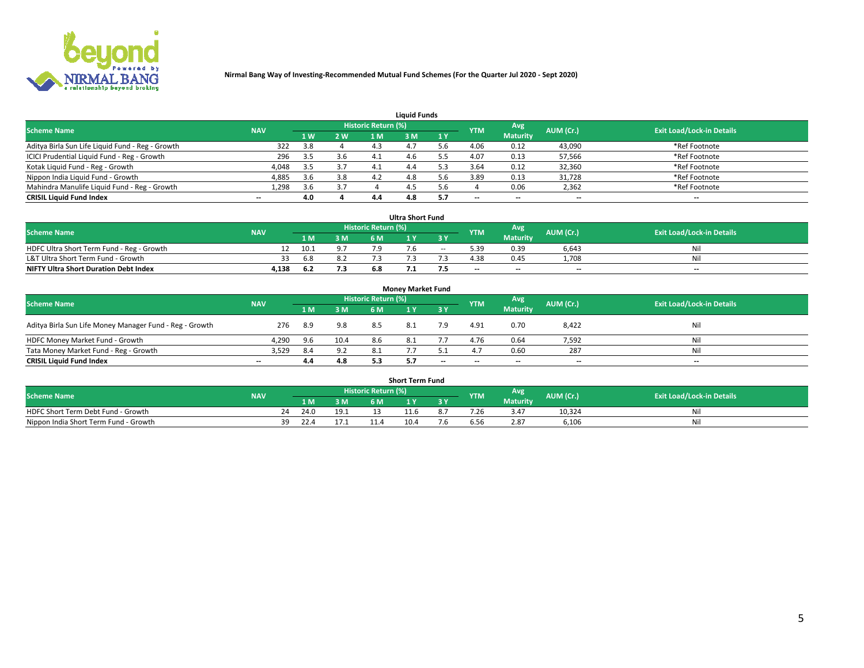

|                                                  |            |     |     |                     | <b>Liquid Funds</b> |     |            |                 |           |                                  |
|--------------------------------------------------|------------|-----|-----|---------------------|---------------------|-----|------------|-----------------|-----------|----------------------------------|
| <b>Scheme Name</b>                               | <b>NAV</b> |     |     | Historic Return (%) |                     |     | <b>YTM</b> | Avg             | AUM (Cr.) | <b>Exit Load/Lock-in Details</b> |
|                                                  |            | 1 W | 2 W | 1 M                 | M                   | 1 Y |            | <b>Maturity</b> |           |                                  |
| Aditya Birla Sun Life Liquid Fund - Reg - Growth | 322        | 3.8 |     | 4.3                 |                     |     | 4.06       | 0.12            | 43,090    | *Ref Footnote                    |
| ICICI Prudential Liquid Fund - Reg - Growth      | 296        | 3.5 | 3.6 | 4.1                 | 4.b                 |     | 4.07       | 0.13            | 57,566    | *Ref Footnote                    |
| Kotak Liquid Fund - Reg - Growth                 | 4,048      | 3.5 | 3.7 |                     | 4.4                 |     | 3.64       | 0.12            | 32,360    | *Ref Footnote                    |
| Nippon India Liquid Fund - Growth                | 4,885      | 3.6 | 3.8 | 4.2                 | 4.8                 |     | 3.89       | 0.13            | 31,728    | *Ref Footnote                    |
| Mahindra Manulife Liquid Fund - Reg - Growth     | 1,298      | 3.6 | 3.7 |                     | 4.5                 | .6  |            | 0.06            | 2,362     | *Ref Footnote                    |
| <b>CRISIL Liquid Fund Index</b>                  | $- -$      | 4.0 |     | 4.4                 | 4.8                 |     | --         | $- -$           | --        | $\overline{\phantom{a}}$         |

|                                              |            |      |     |                            | <b>Ultra Short Fund</b> |        |            |                 |           |                                  |
|----------------------------------------------|------------|------|-----|----------------------------|-------------------------|--------|------------|-----------------|-----------|----------------------------------|
| <b>Scheme Name</b>                           | <b>NAV</b> |      |     | <b>Historic Return (%)</b> |                         |        | <b>YTM</b> | Avg             | AUM (Cr.) | <b>Exit Load/Lock-in Details</b> |
|                                              |            |      | 3 M | 6 M                        |                         | 3 Y    |            | <b>Maturity</b> |           |                                  |
| HDFC Ultra Short Term Fund - Reg - Growth    |            | 10.1 |     |                            |                         | $\sim$ | 5.39       | 0.39            | 6,643     | Nil                              |
| L&T Ultra Short Term Fund - Growth           |            | 6.8  |     |                            |                         |        | 4.38       | 0.45            | 1.708     | Ni                               |
| <b>NIFTY Ultra Short Duration Debt Index</b> | 4,138      | 6.2  | 7.3 |                            |                         |        | $-$        | $- -$           | $- -$     | $-$                              |

| <b>Monev Market Fund</b>                                |                          |     |      |                     |  |           |            |                 |           |                                  |  |  |  |  |
|---------------------------------------------------------|--------------------------|-----|------|---------------------|--|-----------|------------|-----------------|-----------|----------------------------------|--|--|--|--|
| <b>Scheme Name</b>                                      | <b>NAV</b>               |     |      | Historic Return (%) |  |           | <b>YTM</b> | Avg.            | AUM (Cr.) | <b>Exit Load/Lock-in Details</b> |  |  |  |  |
|                                                         |                          | 1 M | 3 M  | 6 M                 |  | <b>3Y</b> |            | <b>Maturity</b> |           |                                  |  |  |  |  |
| Aditya Birla Sun Life Money Manager Fund - Reg - Growth | 276                      | 8.9 | 9.8  | 8.5                 |  | 7.9       | 4.91       | 0.70            | 8,422     | Nil                              |  |  |  |  |
| HDFC Money Market Fund - Growth                         | 4,290                    | 9.6 | 10.4 | 8.6                 |  |           | 4.76       | 0.64            | 7,592     | Nil                              |  |  |  |  |
| Tata Money Market Fund - Reg - Growth                   | 3,529                    | 8.4 | 9.2  | 8.1                 |  |           | 4.7        | 0.60            | 287       | Nil                              |  |  |  |  |
| <b>CRISIL Liquid Fund Index</b>                         | $\overline{\phantom{a}}$ | 4.4 | 4.8  | 5.3                 |  | $-$       | $-$        | $- -$           | $- -$     | $\overline{\phantom{m}}$         |  |  |  |  |

|                                       |            |            |     |                     | <b>Short Term Fund</b> |     |      |                   |           |                                  |
|---------------------------------------|------------|------------|-----|---------------------|------------------------|-----|------|-------------------|-----------|----------------------------------|
| <b>Scheme Name</b>                    | <b>NAV</b> |            |     | Historic Return (%) |                        |     |      | Avg<br><b>YTM</b> | AUM (Cr.) | <b>Exit Load/Lock-in Details</b> |
|                                       |            | LM.        | 3 M | 6 M                 | $\mathbf{v}$           | 3 Y |      | <b>Maturity</b>   |           |                                  |
| HDFC Short Term Debt Fund - Growth    |            | 24.0<br>24 |     |                     |                        |     | 7.ZE | 3.47              | 10,324    | M                                |
| Nippon India Short Term Fund - Growth |            | 22.4<br>39 |     |                     | 10.4                   | ۰.  | b.5( | 2.87              | 6,106     | N                                |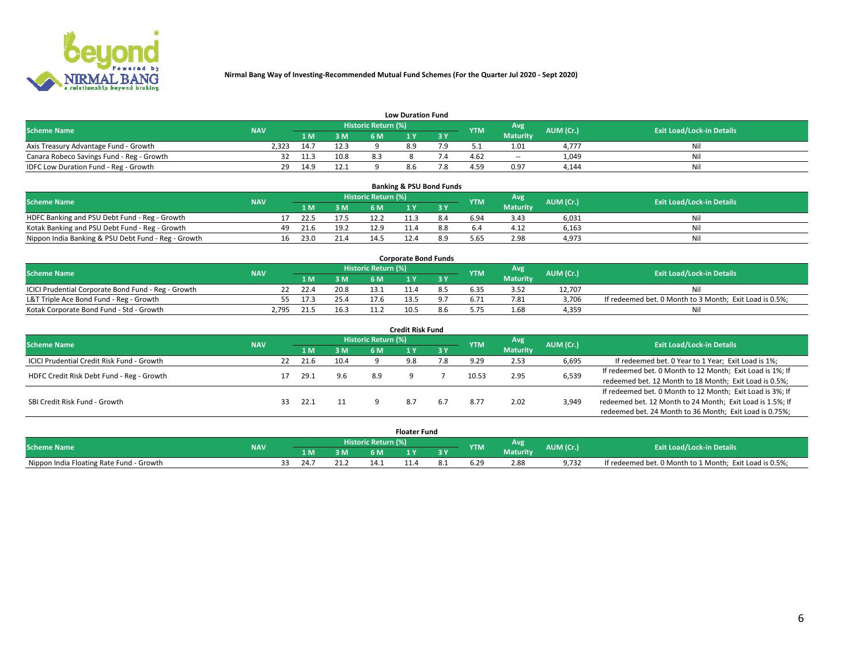

| <b>Low Duration Fund</b>                  |            |      |      |                     |     |     |            |                 |           |                                  |  |  |  |  |
|-------------------------------------------|------------|------|------|---------------------|-----|-----|------------|-----------------|-----------|----------------------------------|--|--|--|--|
| <b>Scheme Name</b>                        | <b>NAV</b> |      |      | Historic Return (%) |     |     | <b>YTM</b> | <b>Avg</b>      | AUM (Cr.) | <b>Exit Load/Lock-in Details</b> |  |  |  |  |
|                                           |            | 1 M. | 3 M  | 6 M                 |     | 2 V |            | <b>Maturity</b> |           |                                  |  |  |  |  |
| Axis Treasury Advantage Fund - Growth     | 2.323      | 14.7 | 12.3 |                     | 8.9 |     |            | 1.01            | 4.777     | Nil                              |  |  |  |  |
| Canara Robeco Savings Fund - Reg - Growth |            | 11.3 | 10.8 |                     |     |     | 4.62       | $- -$           | 1,049     | Nil                              |  |  |  |  |
| IDFC Low Duration Fund - Reg - Growth     | 29         | 14.9 | 12.1 |                     | 8.6 |     | 4.59       | 0.97            | 4,144     | Nil                              |  |  |  |  |

| <b>Banking &amp; PSU Bond Funds</b>                 |            |    |      |      |                     |  |     |            |                 |           |                                  |  |  |  |
|-----------------------------------------------------|------------|----|------|------|---------------------|--|-----|------------|-----------------|-----------|----------------------------------|--|--|--|
| <b>Scheme Name</b>                                  | <b>NAV</b> |    |      |      | Historic Return (%) |  |     | <b>YTM</b> | Avg             | AUM (Cr.) | <b>Exit Load/Lock-in Details</b> |  |  |  |
|                                                     |            |    | 1 M. | 3 M  | 6 M                 |  |     |            | <b>Maturity</b> |           |                                  |  |  |  |
| HDFC Banking and PSU Debt Fund - Reg - Growth       |            |    | 22.5 | 17.5 |                     |  | 8.4 | 6.94       | 3.43            | 6,031     | Ni                               |  |  |  |
| Kotak Banking and PSU Debt Fund - Reg - Growth      |            | 49 | 21.6 | 19.2 | 12.9                |  |     |            | 4.12            | 6,163     | Ni                               |  |  |  |
| Nippon India Banking & PSU Debt Fund - Reg - Growth |            | 16 | 23.0 | 21.4 | ا 14                |  | 8.9 | 5.65       | 2.98            | 4,973     | Ni                               |  |  |  |

| <b>Corporate Bond Funds</b>                         |            |      |      |                            |      |  |            |          |           |                                                         |  |  |  |  |
|-----------------------------------------------------|------------|------|------|----------------------------|------|--|------------|----------|-----------|---------------------------------------------------------|--|--|--|--|
| <b>Scheme Name</b>                                  | <b>NAV</b> |      |      | <b>Historic Return (%)</b> |      |  | <b>YTM</b> | Avg      | AUM (Cr.) | <b>Exit Load/Lock-in Details</b>                        |  |  |  |  |
|                                                     |            |      | 3 M  | 6 M                        |      |  |            | Maturity |           |                                                         |  |  |  |  |
| ICICI Prudential Corporate Bond Fund - Reg - Growth |            | 22.4 | 20.8 |                            |      |  |            |          | 12.707    | Nil                                                     |  |  |  |  |
| L&T Triple Ace Bond Fund - Reg - Growth             |            | 17.3 | 25.4 | 17.6                       |      |  | 6.71       | 7.81     | 3,706     | If redeemed bet. 0 Month to 3 Month; Exit Load is 0.5%; |  |  |  |  |
| Kotak Corporate Bond Fund - Std - Growth            | 2.795      |      | 16.3 | 11.2                       | 10.5 |  |            | 1.68     | 4,359     | Nil                                                     |  |  |  |  |

| <b>Credit Risk Fund</b>                    |            |    |      |      |                            |     |       |            |                 |           |                                                           |  |  |
|--------------------------------------------|------------|----|------|------|----------------------------|-----|-------|------------|-----------------|-----------|-----------------------------------------------------------|--|--|
| <b>Scheme Name</b>                         | <b>NAV</b> |    |      |      | <b>Historic Return (%)</b> |     |       | <b>YTM</b> | Avg             | AUM (Cr.) | <b>Exit Load/Lock-in Details</b>                          |  |  |
|                                            |            |    | 1 M  | 3 M  | 6 M                        |     | 73 Y. |            | <b>Maturity</b> |           |                                                           |  |  |
| ICICI Prudential Credit Risk Fund - Growth |            | 22 | 21.6 | 10.4 |                            | 9.8 | 8.'   | 9.29       | 2.53            | 6,695     | If redeemed bet. 0 Year to 1 Year; Exit Load is 1%;       |  |  |
| HDFC Credit Risk Debt Fund - Reg - Growth  |            |    | 29.1 | 9.6  | 8.9                        |     |       | 10.53      | 2.95            | 6,539     | If redeemed bet. 0 Month to 12 Month; Exit Load is 1%; If |  |  |
|                                            |            |    |      |      |                            |     |       |            |                 |           | redeemed bet. 12 Month to 18 Month; Exit Load is 0.5%;    |  |  |
|                                            |            |    |      |      |                            |     |       |            |                 |           | If redeemed bet. 0 Month to 12 Month; Exit Load is 3%; If |  |  |
| SBI Credit Risk Fund - Growth              |            | 33 | 22.1 |      |                            |     | 6.7   | 8.77       | 2.02            | 3,949     | redeemed bet. 12 Month to 24 Month; Exit Load is 1.5%; If |  |  |
|                                            |            |    |      |      |                            |     |       |            |                 |           | redeemed bet. 24 Month to 36 Month; Exit Load is 0.75%;   |  |  |

| <b>Floater Fund</b>                      |            |  |      |         |                            |  |    |      |                         |           |                                                         |
|------------------------------------------|------------|--|------|---------|----------------------------|--|----|------|-------------------------|-----------|---------------------------------------------------------|
| <b>Scheme Name</b>                       | <b>NAV</b> |  |      |         | <b>Historic Return (%)</b> |  |    | YTM  | Avg.<br><b>Maturity</b> | AUM (Cr.) | <b>Exit Load/Lock-in Details</b>                        |
|                                          |            |  | 1 M  | ЗM      | 6 M                        |  | эv |      |                         |           |                                                         |
| Nippon India Floating Rate Fund - Growth |            |  | 24.7 | าง<br>. | 14.1                       |  |    | 6.29 | 2.88                    | 9.732     | If redeemed bet. 0 Month to 1 Month; Exit Load is 0.5%; |